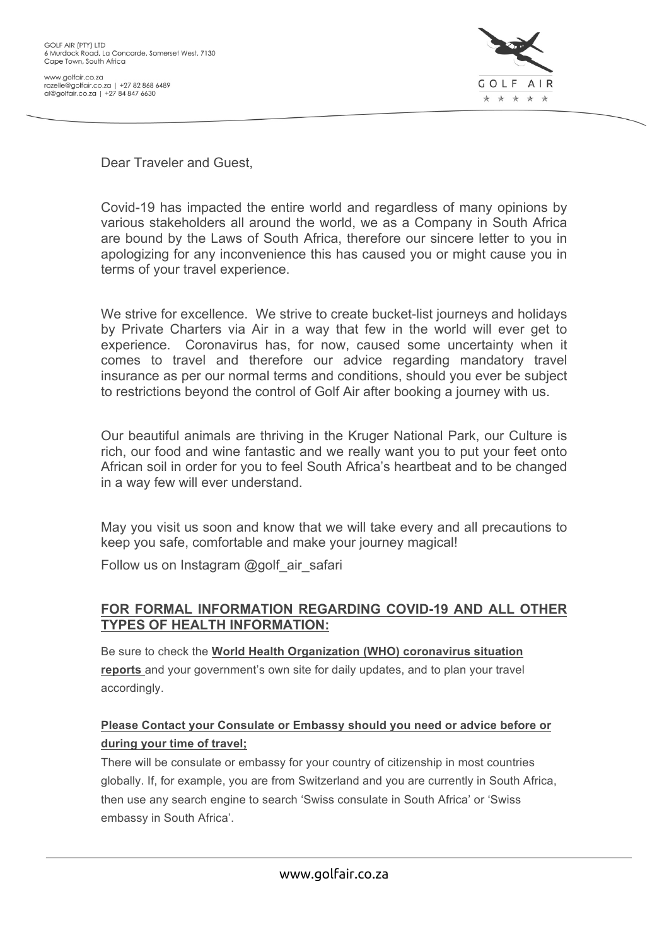

Dear Traveler and Guest,

Covid-19 has impacted the entire world and regardless of many opinions by various stakeholders all around the world, we as a Company in South Africa are bound by the Laws of South Africa, therefore our sincere letter to you in apologizing for any inconvenience this has caused you or might cause you in terms of your travel experience.

We strive for excellence. We strive to create bucket-list journeys and holidays by Private Charters via Air in a way that few in the world will ever get to experience. Coronavirus has, for now, caused some uncertainty when it comes to travel and therefore our advice regarding mandatory travel insurance as per our normal terms and conditions, should you ever be subject to restrictions beyond the control of Golf Air after booking a journey with us.

Our beautiful animals are thriving in the Kruger National Park, our Culture is rich, our food and wine fantastic and we really want you to put your feet onto African soil in order for you to feel South Africa's heartbeat and to be changed in a way few will ever understand.

May you visit us soon and know that we will take every and all precautions to keep you safe, comfortable and make your journey magical!

Follow us on Instagram @golf\_air\_safari

#### **FOR FORMAL INFORMATION REGARDING COVID-19 AND ALL OTHER TYPES OF HEALTH INFORMATION:**

Be sure to check the **World Health Organization (WHO) coronavirus situation reports** and your government's own site for daily updates, and to plan your travel accordingly.

#### **Please Contact your Consulate or Embassy should you need or advice before or during your time of travel;**

There will be consulate or embassy for your country of citizenship in most countries globally. If, for example, you are from Switzerland and you are currently in South Africa, then use any search engine to search 'Swiss consulate in South Africa' or 'Swiss embassy in South Africa'.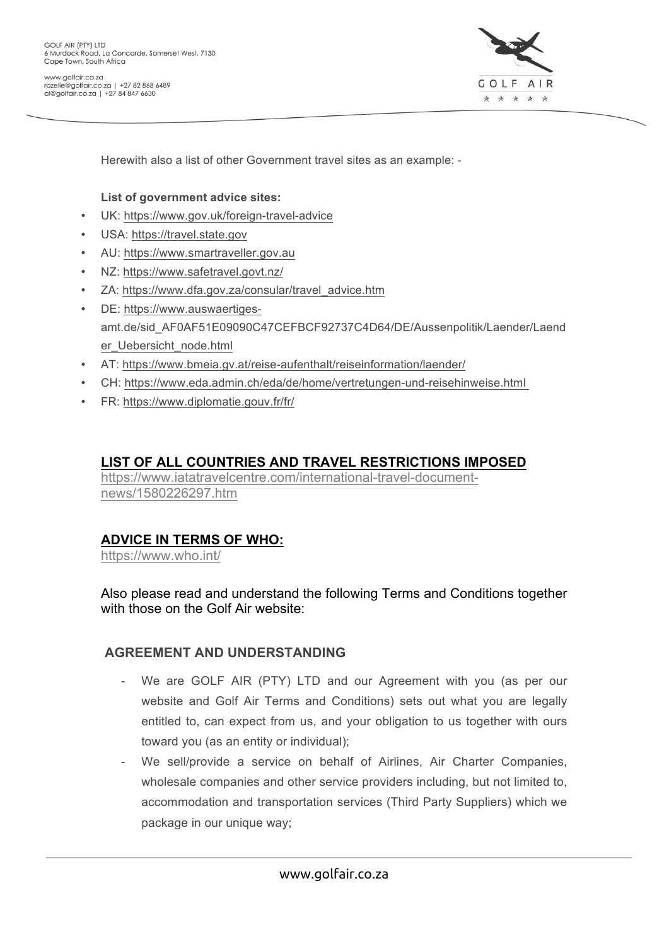

Herewith also a list of other Government travel sites as an example: -

#### **List of government advice sites:**

- UK: https://www.gov.uk/foreign-travel-advice
- USA: https://travel.state.gov
- AU: https://www.smartraveller.gov.au
- NZ: https://www.safetravel.govt.nz/
- ZA: https://www.dfa.gov.za/consular/travel\_advice.htm
- DE: https://www.auswaertigesamt.de/sid\_AF0AF51E09090C47CEFBCF92737C4D64/DE/Aussenpolitik/Laender/Laend er\_Uebersicht\_node.html
- AT: https://www.bmeia.gv.at/reise-aufenthalt/reiseinformation/laender/
- CH: https://www.eda.admin.ch/eda/de/home/vertretungen-und-reisehinweise.html
- FR: https://www.diplomatie.gouv.fr/fr/

### **LIST OF ALL COUNTRIES AND TRAVEL RESTRICTIONS IMPOSED**

https://www.iatatravelcentre.com/international-travel-documentnews/1580226297.htm

#### **ADVICE IN TERMS OF WHO:**

https://www.who.int/

Also please read and understand the following Terms and Conditions together with those on the Golf Air website:

#### **AGREEMENT AND UNDERSTANDING**

- We are GOLF AIR (PTY) LTD and our Agreement with you (as per our website and Golf Air Terms and Conditions) sets out what you are legally entitled to, can expect from us, and your obligation to us together with ours toward you (as an entity or individual);
- We sell/provide a service on behalf of Airlines, Air Charter Companies, wholesale companies and other service providers including, but not limited to, accommodation and transportation services (Third Party Suppliers) which we package in our unique way;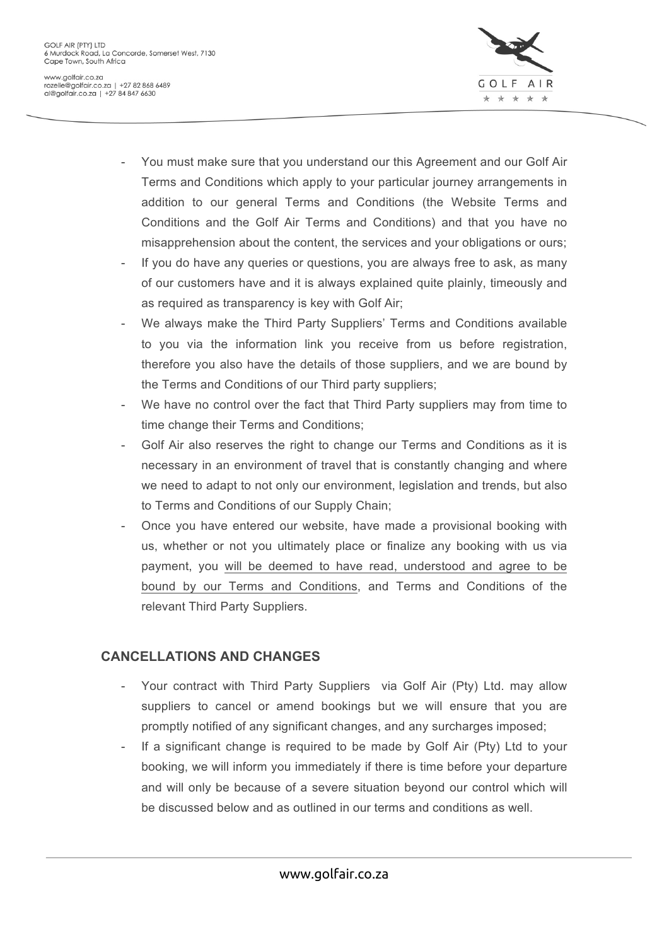

- You must make sure that you understand our this Agreement and our Golf Air Terms and Conditions which apply to your particular journey arrangements in addition to our general Terms and Conditions (the Website Terms and Conditions and the Golf Air Terms and Conditions) and that you have no misapprehension about the content, the services and your obligations or ours;
- If you do have any queries or questions, you are always free to ask, as many of our customers have and it is always explained quite plainly, timeously and as required as transparency is key with Golf Air;
- We always make the Third Party Suppliers' Terms and Conditions available to you via the information link you receive from us before registration, therefore you also have the details of those suppliers, and we are bound by the Terms and Conditions of our Third party suppliers;
- We have no control over the fact that Third Party suppliers may from time to time change their Terms and Conditions;
- Golf Air also reserves the right to change our Terms and Conditions as it is necessary in an environment of travel that is constantly changing and where we need to adapt to not only our environment, legislation and trends, but also to Terms and Conditions of our Supply Chain;
- Once you have entered our website, have made a provisional booking with us, whether or not you ultimately place or finalize any booking with us via payment, you will be deemed to have read, understood and agree to be bound by our Terms and Conditions, and Terms and Conditions of the relevant Third Party Suppliers.

## **CANCELLATIONS AND CHANGES**

- Your contract with Third Party Suppliers via Golf Air (Pty) Ltd. may allow suppliers to cancel or amend bookings but we will ensure that you are promptly notified of any significant changes, and any surcharges imposed;
- If a significant change is required to be made by Golf Air (Pty) Ltd to your booking, we will inform you immediately if there is time before your departure and will only be because of a severe situation beyond our control which will be discussed below and as outlined in our terms and conditions as well.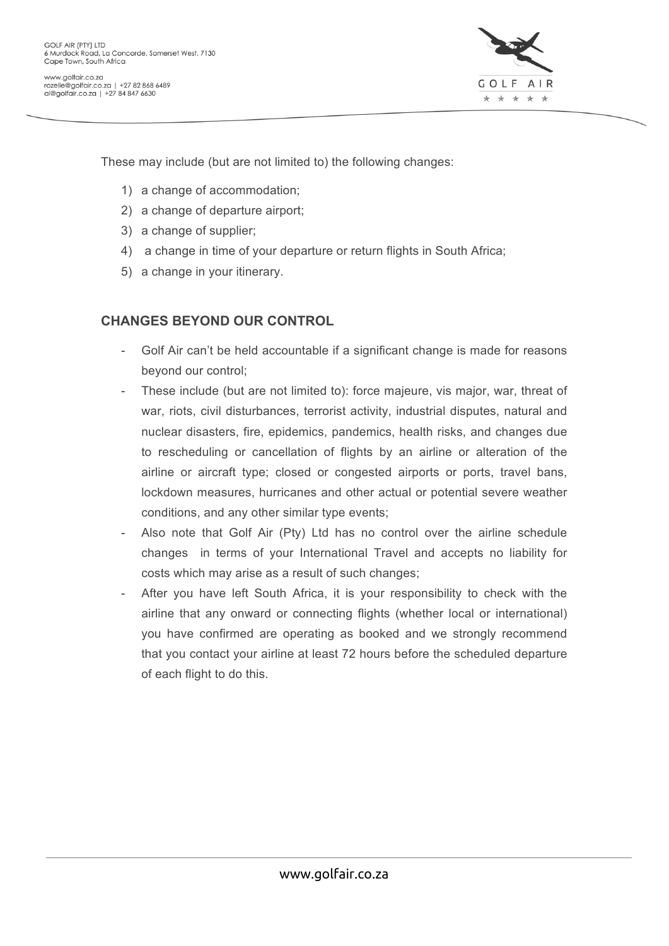

These may include (but are not limited to) the following changes:

- 1) a change of accommodation;
- 2) a change of departure airport;
- 3) a change of supplier;
- 4) a change in time of your departure or return flights in South Africa;
- 5) a change in your itinerary.

### **CHANGES BEYOND OUR CONTROL**

- Golf Air can't be held accountable if a significant change is made for reasons beyond our control;
- These include (but are not limited to): force majeure, vis major, war, threat of war, riots, civil disturbances, terrorist activity, industrial disputes, natural and nuclear disasters, fire, epidemics, pandemics, health risks, and changes due to rescheduling or cancellation of flights by an airline or alteration of the airline or aircraft type; closed or congested airports or ports, travel bans, lockdown measures, hurricanes and other actual or potential severe weather conditions, and any other similar type events;
- Also note that Golf Air (Pty) Ltd has no control over the airline schedule changes in terms of your International Travel and accepts no liability for costs which may arise as a result of such changes;
- After you have left South Africa, it is your responsibility to check with the airline that any onward or connecting flights (whether local or international) you have confirmed are operating as booked and we strongly recommend that you contact your airline at least 72 hours before the scheduled departure of each flight to do this.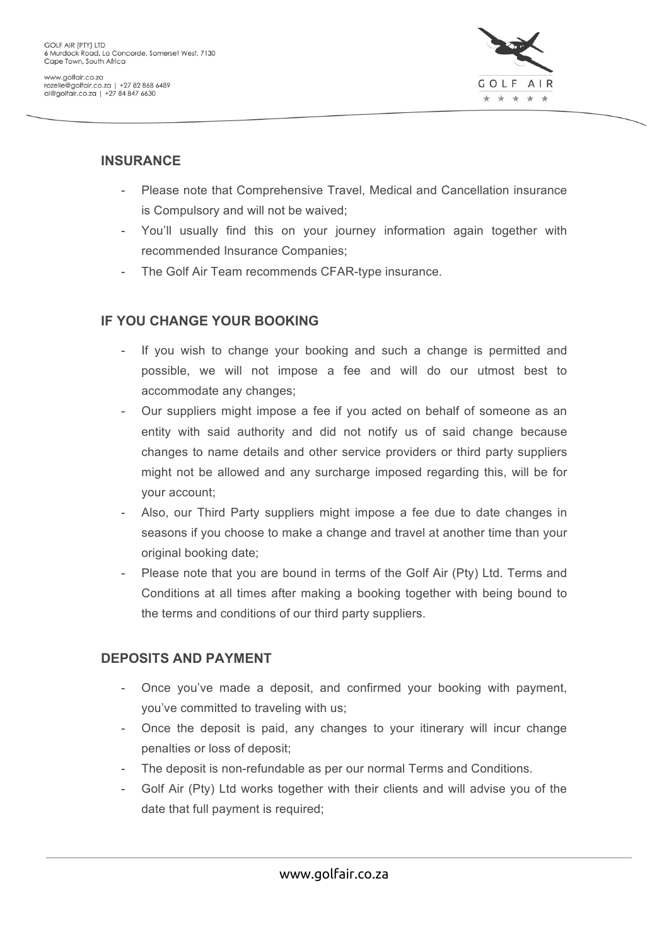

### **INSURANCE**

- Please note that Comprehensive Travel, Medical and Cancellation insurance is Compulsory and will not be waived;
- You'll usually find this on your journey information again together with recommended Insurance Companies;
- The Golf Air Team recommends CFAR-type insurance.

# **IF YOU CHANGE YOUR BOOKING**

- If you wish to change your booking and such a change is permitted and possible, we will not impose a fee and will do our utmost best to accommodate any changes;
- Our suppliers might impose a fee if you acted on behalf of someone as an entity with said authority and did not notify us of said change because changes to name details and other service providers or third party suppliers might not be allowed and any surcharge imposed regarding this, will be for your account;
- Also, our Third Party suppliers might impose a fee due to date changes in seasons if you choose to make a change and travel at another time than your original booking date;
- Please note that you are bound in terms of the Golf Air (Pty) Ltd. Terms and Conditions at all times after making a booking together with being bound to the terms and conditions of our third party suppliers.

## **DEPOSITS AND PAYMENT**

- Once you've made a deposit, and confirmed your booking with payment, you've committed to traveling with us;
- Once the deposit is paid, any changes to your itinerary will incur change penalties or loss of deposit;
- The deposit is non-refundable as per our normal Terms and Conditions.
- Golf Air (Pty) Ltd works together with their clients and will advise you of the date that full payment is required;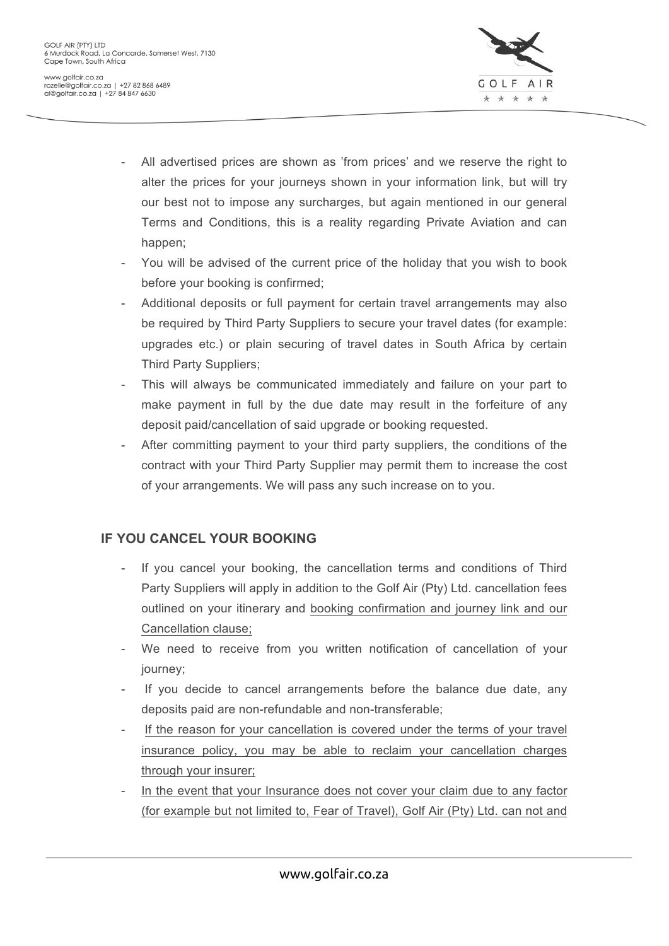

- All advertised prices are shown as 'from prices' and we reserve the right to alter the prices for your journeys shown in your information link, but will try our best not to impose any surcharges, but again mentioned in our general Terms and Conditions, this is a reality regarding Private Aviation and can happen;
- You will be advised of the current price of the holiday that you wish to book before your booking is confirmed;
- Additional deposits or full payment for certain travel arrangements may also be required by Third Party Suppliers to secure your travel dates (for example: upgrades etc.) or plain securing of travel dates in South Africa by certain Third Party Suppliers;
- This will always be communicated immediately and failure on your part to make payment in full by the due date may result in the forfeiture of any deposit paid/cancellation of said upgrade or booking requested.
- After committing payment to your third party suppliers, the conditions of the contract with your Third Party Supplier may permit them to increase the cost of your arrangements. We will pass any such increase on to you.

## **IF YOU CANCEL YOUR BOOKING**

- If you cancel your booking, the cancellation terms and conditions of Third Party Suppliers will apply in addition to the Golf Air (Pty) Ltd. cancellation fees outlined on your itinerary and booking confirmation and journey link and our Cancellation clause;
- We need to receive from you written notification of cancellation of your journey;
- If you decide to cancel arrangements before the balance due date, any deposits paid are non-refundable and non-transferable;
- If the reason for your cancellation is covered under the terms of your travel insurance policy, you may be able to reclaim your cancellation charges through your insurer;
- In the event that your Insurance does not cover your claim due to any factor (for example but not limited to, Fear of Travel), Golf Air (Pty) Ltd. can not and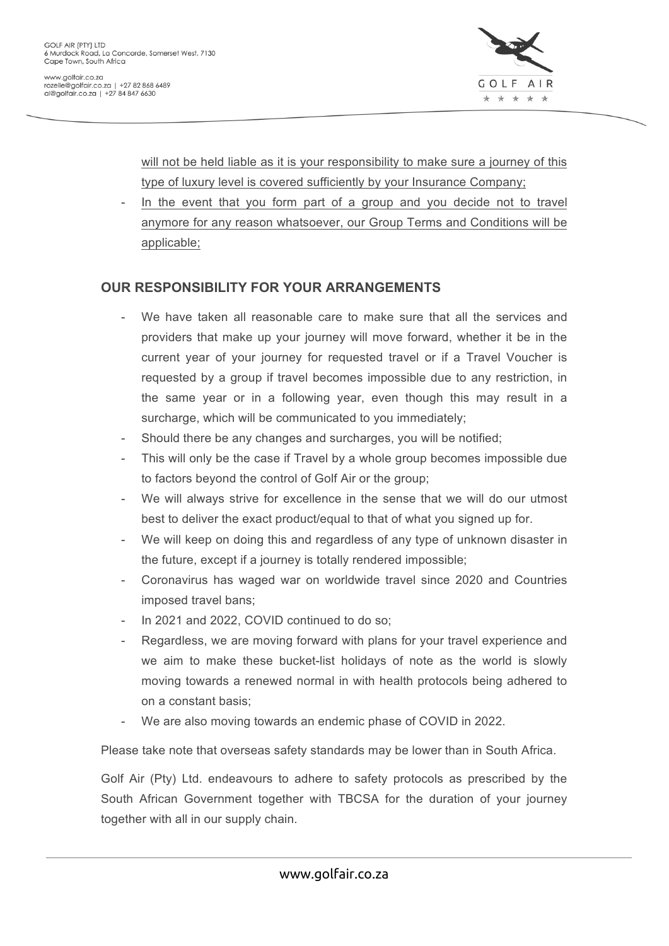

will not be held liable as it is your responsibility to make sure a journey of this type of luxury level is covered sufficiently by your Insurance Company;

In the event that you form part of a group and you decide not to travel anymore for any reason whatsoever, our Group Terms and Conditions will be applicable;

### **OUR RESPONSIBILITY FOR YOUR ARRANGEMENTS**

- We have taken all reasonable care to make sure that all the services and providers that make up your journey will move forward, whether it be in the current year of your journey for requested travel or if a Travel Voucher is requested by a group if travel becomes impossible due to any restriction, in the same year or in a following year, even though this may result in a surcharge, which will be communicated to you immediately;
- Should there be any changes and surcharges, you will be notified;
- This will only be the case if Travel by a whole group becomes impossible due to factors beyond the control of Golf Air or the group;
- We will always strive for excellence in the sense that we will do our utmost best to deliver the exact product/equal to that of what you signed up for.
- We will keep on doing this and regardless of any type of unknown disaster in the future, except if a journey is totally rendered impossible;
- Coronavirus has waged war on worldwide travel since 2020 and Countries imposed travel bans;
- In 2021 and 2022, COVID continued to do so;
- Regardless, we are moving forward with plans for your travel experience and we aim to make these bucket-list holidays of note as the world is slowly moving towards a renewed normal in with health protocols being adhered to on a constant basis;
- We are also moving towards an endemic phase of COVID in 2022.

Please take note that overseas safety standards may be lower than in South Africa.

Golf Air (Pty) Ltd. endeavours to adhere to safety protocols as prescribed by the South African Government together with TBCSA for the duration of your journey together with all in our supply chain.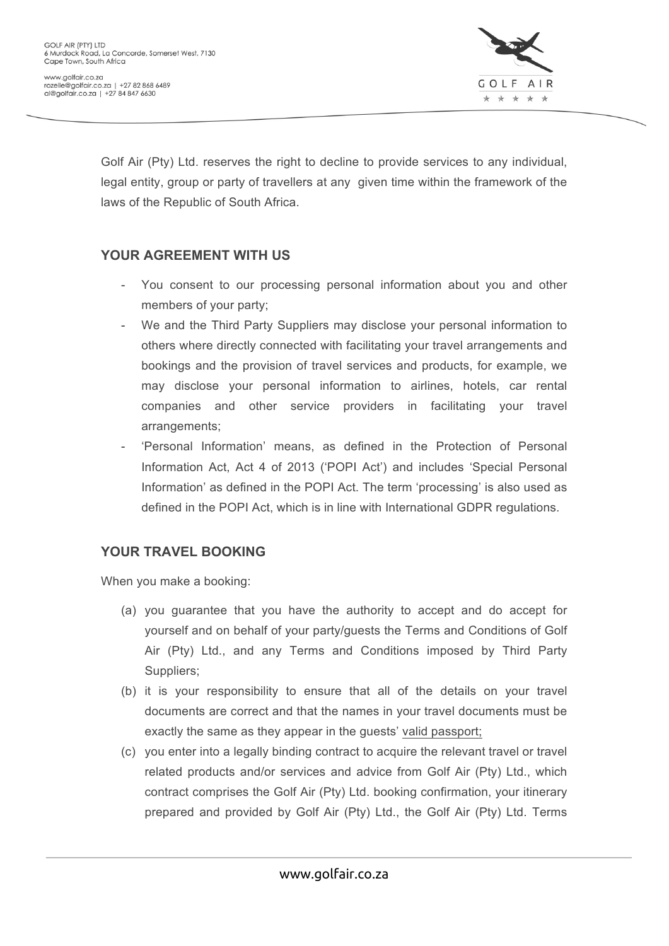

Golf Air (Pty) Ltd. reserves the right to decline to provide services to any individual, legal entity, group or party of travellers at any given time within the framework of the laws of the Republic of South Africa.

#### **YOUR AGREEMENT WITH US**

- You consent to our processing personal information about you and other members of your party;
- We and the Third Party Suppliers may disclose your personal information to others where directly connected with facilitating your travel arrangements and bookings and the provision of travel services and products, for example, we may disclose your personal information to airlines, hotels, car rental companies and other service providers in facilitating your travel arrangements;
- 'Personal Information' means, as defined in the Protection of Personal Information Act, Act 4 of 2013 ('POPI Act') and includes 'Special Personal Information' as defined in the POPI Act. The term 'processing' is also used as defined in the POPI Act, which is in line with International GDPR regulations.

## **YOUR TRAVEL BOOKING**

When you make a booking:

- (a) you guarantee that you have the authority to accept and do accept for yourself and on behalf of your party/guests the Terms and Conditions of Golf Air (Pty) Ltd., and any Terms and Conditions imposed by Third Party Suppliers;
- (b) it is your responsibility to ensure that all of the details on your travel documents are correct and that the names in your travel documents must be exactly the same as they appear in the guests' valid passport;
- (c) you enter into a legally binding contract to acquire the relevant travel or travel related products and/or services and advice from Golf Air (Pty) Ltd., which contract comprises the Golf Air (Pty) Ltd. booking confirmation, your itinerary prepared and provided by Golf Air (Pty) Ltd., the Golf Air (Pty) Ltd. Terms